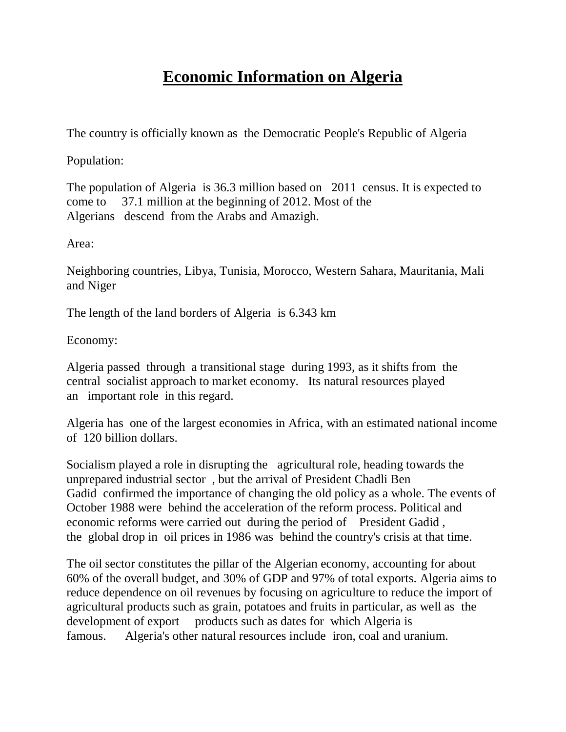## **Economic Information on Algeria**

The country is officially known as the Democratic People's Republic of Algeria

Population:

The population of Algeria is 36.3 million based on 2011 census. It is expected to come to 37.1 million at the beginning of 2012. Most of the Algerians descend from the Arabs and Amazigh.

Area:

Neighboring countries, Libya, Tunisia, Morocco, Western Sahara, Mauritania, Mali and Niger

The length of the land borders of Algeria is 6.343 km

Economy:

Algeria passed through a transitional stage during 1993, as it shifts from the central socialist approach to market economy. Its natural resources played an important role in this regard.

Algeria has one of the largest economies in Africa, with an estimated national income of 120 billion dollars.

Socialism played a role in disrupting the agricultural role, heading towards the unprepared industrial sector , but the arrival of President Chadli Ben Gadid confirmed the importance of changing the old policy as a whole. The events of October 1988 were behind the acceleration of the reform process. Political and economic reforms were carried out during the period of President Gadid , the global drop in oil prices in 1986 was behind the country's crisis at that time.

The oil sector constitutes the pillar of the Algerian economy, accounting for about 60% of the overall budget, and 30% of GDP and 97% of total exports. Algeria aims to reduce dependence on oil revenues by focusing on agriculture to reduce the import of agricultural products such as grain, potatoes and fruits in particular, as well as the development of export products such as dates for which Algeria is famous. Algeria's other natural resources include iron, coal and uranium.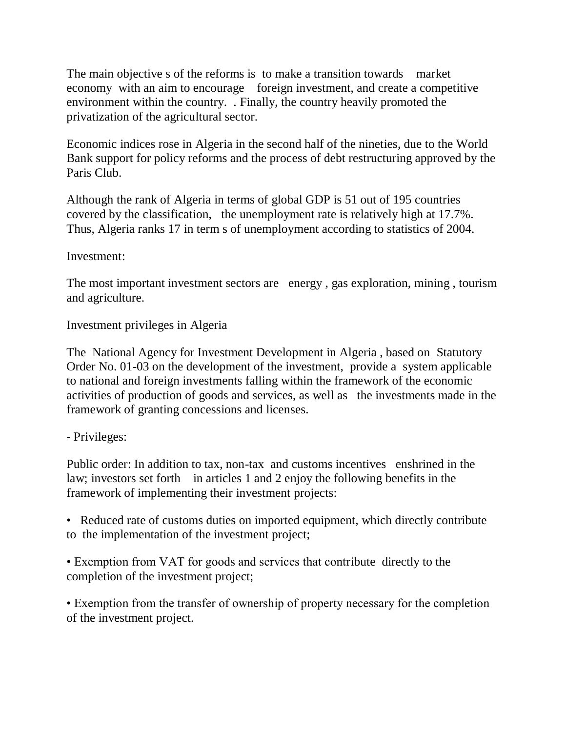The main objective s of the reforms is to make a transition towards market economy with an aim to encourage foreign investment, and create a competitive environment within the country. . Finally, the country heavily promoted the privatization of the agricultural sector.

Economic indices rose in Algeria in the second half of the nineties, due to the World Bank support for policy reforms and the process of debt restructuring approved by the Paris Club.

Although the rank of Algeria in terms of global GDP is 51 out of 195 countries covered by the classification, the unemployment rate is relatively high at 17.7%. Thus, Algeria ranks 17 in term s of unemployment according to statistics of 2004.

## Investment:

The most important investment sectors are energy , gas exploration, mining , tourism and agriculture.

Investment privileges in Algeria

The National Agency for Investment Development in Algeria , based on Statutory Order No. 01-03 on the development of the investment, provide a system applicable to national and foreign investments falling within the framework of the economic activities of production of goods and services, as well as the investments made in the framework of granting concessions and licenses.

## - Privileges:

Public order: In addition to tax, non-tax and customs incentives enshrined in the law; investors set forth in articles 1 and 2 enjoy the following benefits in the framework of implementing their investment projects:

• Reduced rate of customs duties on imported equipment, which directly contribute to the implementation of the investment project;

• Exemption from VAT for goods and services that contribute directly to the completion of the investment project;

• Exemption from the transfer of ownership of property necessary for the completion of the investment project.